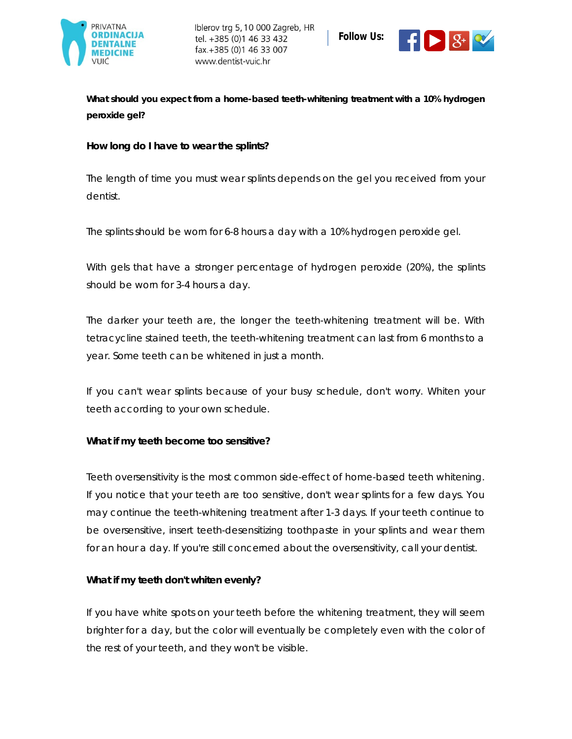

Iblerov trg 5, 10 000 Zagreb, HR tel. +385 (0)1 46 33 432 fax.+385 (0)1 46 33 007 www.dentist-vuic.hr



**What should you expect from a home-based teeth-whitening treatment with a 10% hydrogen peroxide gel?**

**How long do I have to wear the splints?**

The length of time you must wear splints depends on the gel you received from your dentist.

The splints should be worn for 6-8 hours a day with a 10% hydrogen peroxide gel.

With gels that have a stronger percentage of hydrogen peroxide (20%), the splints should be worn for 3-4 hours a day.

The darker your teeth are, the longer the teeth-whitening treatment will be. With tetracycline stained teeth, the teeth-whitening treatment can last from 6 months to a year. Some teeth can be whitened in just a month.

If you can't wear splints because of your busy schedule, don't worry. Whiten your teeth according to your own schedule.

**What if my teeth become too sensitive?**

Teeth oversensitivity is the most common side-effect of home-based teeth whitening. If you notice that your teeth are too sensitive, don't wear splints for a few days. You may continue the teeth-whitening treatment after 1-3 days. If your teeth continue to be oversensitive, insert teeth-desensitizing toothpaste in your splints and wear them for an hour a day. If you're still concerned about the oversensitivity, call your dentist.

**What if my teeth don't whiten evenly?**

If you have white spots on your teeth before the whitening treatment, they will seem brighter for a day, but the color will eventually be completely even with the color of the rest of your teeth, and they won't be visible.